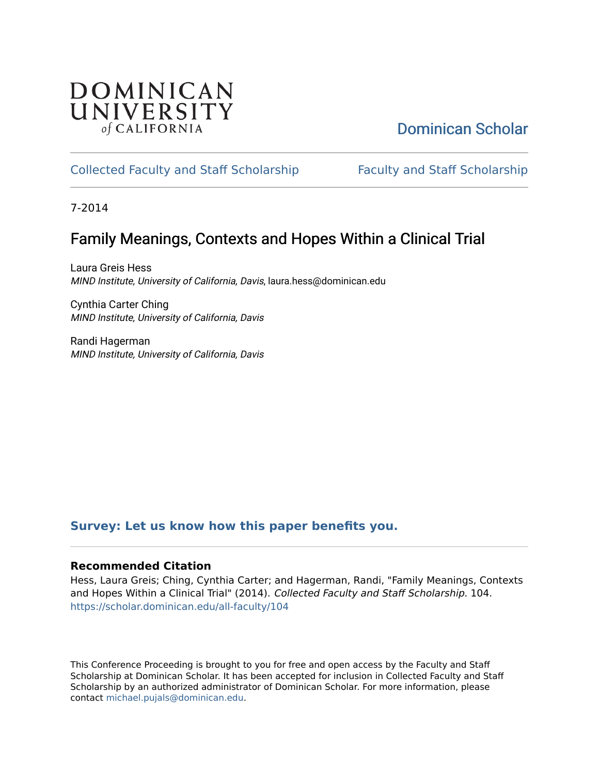#### **DOMINICAN** UNIVERSITY of CALIFORNIA

[Dominican Scholar](https://scholar.dominican.edu/) 

#### [Collected Faculty and Staff Scholarship](https://scholar.dominican.edu/all-faculty) [Faculty and Staff Scholarship](https://scholar.dominican.edu/faculty-scholarship)

7-2014

#### Family Meanings, Contexts and Hopes Within a Clinical Trial

Laura Greis Hess MIND Institute, University of California, Davis, laura.hess@dominican.edu

Cynthia Carter Ching MIND Institute, University of California, Davis

Randi Hagerman MIND Institute, University of California, Davis

#### **[Survey: Let us know how this paper benefits you.](https://dominican.libwizard.com/dominican-scholar-feedback)**

#### **Recommended Citation**

Hess, Laura Greis; Ching, Cynthia Carter; and Hagerman, Randi, "Family Meanings, Contexts and Hopes Within a Clinical Trial" (2014). Collected Faculty and Staff Scholarship. 104. [https://scholar.dominican.edu/all-faculty/104](https://scholar.dominican.edu/all-faculty/104?utm_source=scholar.dominican.edu%2Fall-faculty%2F104&utm_medium=PDF&utm_campaign=PDFCoverPages) 

This Conference Proceeding is brought to you for free and open access by the Faculty and Staff Scholarship at Dominican Scholar. It has been accepted for inclusion in Collected Faculty and Staff Scholarship by an authorized administrator of Dominican Scholar. For more information, please contact [michael.pujals@dominican.edu](mailto:michael.pujals@dominican.edu).